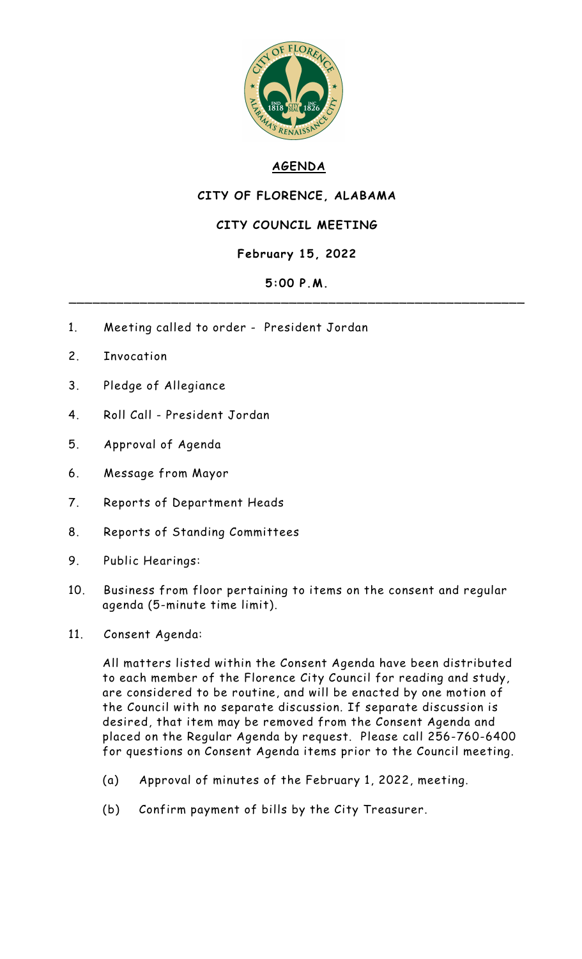

# **AGENDA**

## **CITY OF FLORENCE, ALABAMA**

### **CITY COUNCIL MEETING**

### **February 15, 2022**

#### **5:00 P.M.** \_\_\_\_\_\_\_\_\_\_\_\_\_\_\_\_\_\_\_\_\_\_\_\_\_\_\_\_\_\_\_\_\_\_\_\_\_\_\_\_\_\_\_\_\_\_\_\_\_\_\_\_\_\_\_\_\_\_

- 1. Meeting called to order President Jordan
- 2. Invocation
- 3. Pledge of Allegiance
- 4. Roll Call President Jordan
- 5. Approval of Agenda
- 6. Message from Mayor
- 7. Reports of Department Heads
- 8. Reports of Standing Committees
- 9. Public Hearings:
- 10. Business from floor pertaining to items on the consent and regular agenda (5-minute time limit).
- 11. Consent Agenda:

All matters listed within the Consent Agenda have been distributed to each member of the Florence City Council for reading and study, are considered to be routine, and will be enacted by one motion of the Council with no separate discussion. If separate discussion is desired, that item may be removed from the Consent Agenda and placed on the Regular Agenda by request. Please call 256-760-6400 for questions on Consent Agenda items prior to the Council meeting.

- (a) Approval of minutes of the February 1, 2022, meeting.
- (b) Confirm payment of bills by the City Treasurer.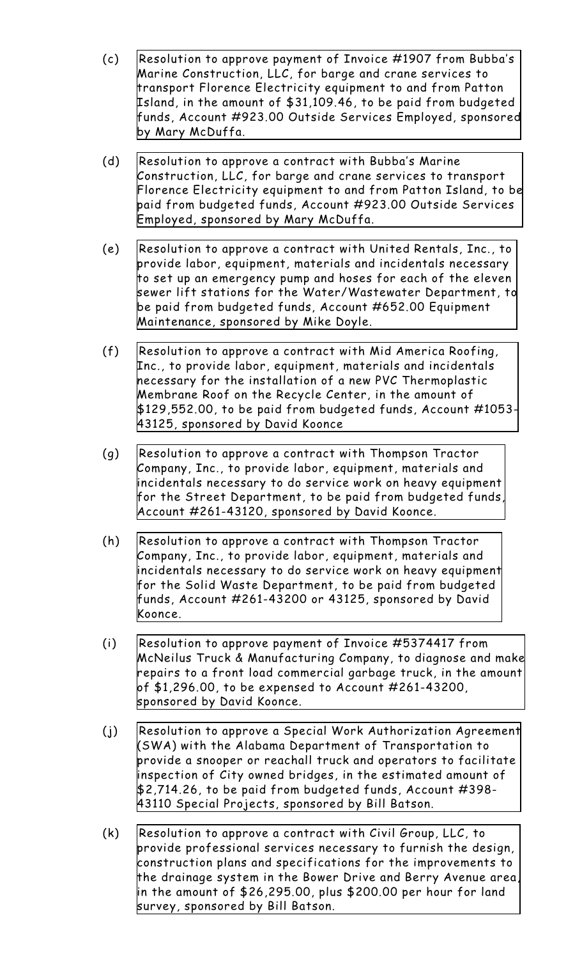- (c) Resolution to approve payment of Invoice #1907 from Bubba's Marine [Construction,](http://www.shoalsweb.com/agenda/02152211c.pdf) LLC, for barge and crane services to transport Florence Electricity equipment to and from Patton Island, in the amount of \$31,109.46, to be paid from budgeted funds, Account #923.00 Outside Services Employed, sponsored by Mary McDuffa.
- (d) Resolution to approve a contract with Bubba's Marine [Construction,](http://www.shoalsweb.com/agenda/02152211d.pdf) LLC, for barge and crane services to transport Florence Electricity equipment to and from Patton Island, to be paid from budgeted funds, Account #923.00 Outside Services Employed, sponsored by Mary McDuffa.
- (e) Resolution to approve a contract with United Rentals, Inc., to provide labor, equipment, materials and incidentals necessary to set up an emergency pump and hoses for each of the eleven sewer lift stations for the [Water/Wastewater](http://www.shoalsweb.com/agenda/02152211e.pdf) Department, to be paid from budgeted funds, Account #652.00 Equipment Maintenance, sponsored by Mike Doyle.
- (f) Resolution to approve a contract with Mid America Roofing, Inc., to provide labor, equipment, materials and incidentals necessary for the installation of a new PVC [Thermoplastic](http://www.shoalsweb.com/agenda/02152211f.pdf) Membrane Roof on the Recycle Center, in the amount of \$129,552.00, to be paid from budgeted funds, Account #1053- 43125, sponsored by David Koonce
- (g) Resolution to approve a contract with Thompson Tractor Company, Inc., to provide labor, equipment, materials and incidentals necessary to do service work on heavy equipment for the Street Department, to be paid from budgeted funds, Account [#261-43120,](http://www.shoalsweb.com/agenda/02152211g.pdf) sponsored by David Koonce.
- (h) Resolution to approve a contract with Thompson Tractor Company, Inc., to provide labor, equipment, materials and incidentals necessary to do service work on heavy equipment for the Solid Waste Department, to be paid from budgeted funds, Account [#261-43200](http://www.shoalsweb.com/agenda/02152211h.pdf) or 43125, sponsored by David Koonce.
- (i) Resolution to approve payment of Invoice #5374417 from McNeilus Truck & [Manufacturing](http://www.shoalsweb.com/agenda/02152211i.pdf) Company, to diagnose and make repairs to a front load commercial garbage truck, in the amount of \$1,296.00, to be expensed to Account #261-43200, sponsored by David Koonce.
- (j) Resolution to approve a Special Work Authorization Agreement (SWA) with the Alabama Department of [Transportation](http://www.shoalsweb.com/agenda/02152211j.pdf) to provide a snooper or reachall truck and operators to facilitate inspection of City owned bridges, in the estimated amount of \$2,714.26, to be paid from budgeted funds, Account #398- 43110 Special Projects, sponsored by Bill Batson.
- (k) Resolution to approve a contract with Civil Group, LLC, to provide professional services necessary to furnish the design, construction plans and [specifications](http://www.shoalsweb.com/agenda/02152211k.pdf) for the improvements to the drainage system in the Bower Drive and Berry Avenue area, in the amount of \$26,295.00, plus \$200.00 per hour for land survey, sponsored by Bill Batson.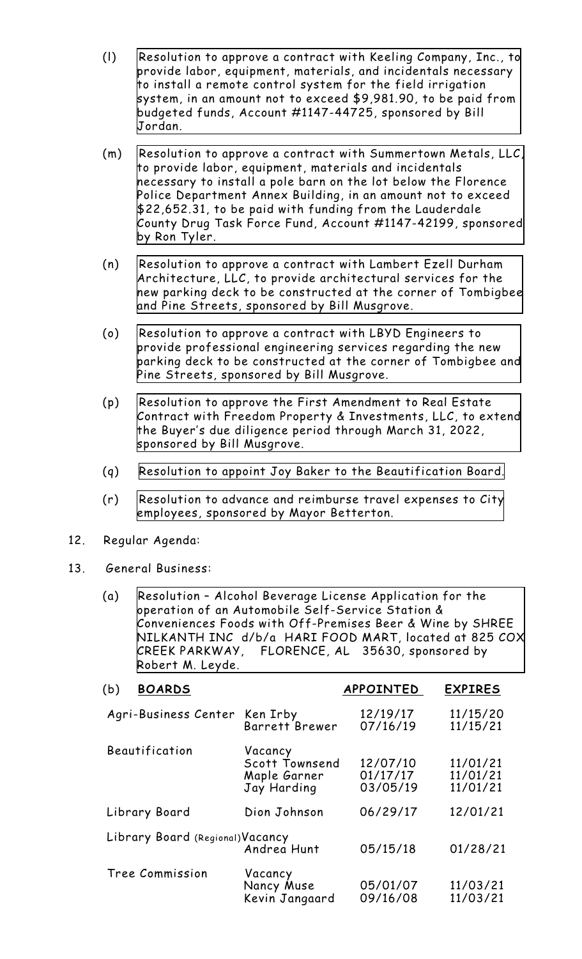- (l) Resolution to approve a contract with Keeling Company, Inc., to provide labor, equipment, materials, and incidentals necessary to install a remote control system for the field irrigation system, in an amount not to exceed \$9,981.90, to be paid from budgeted funds, Account [#1147-44725,](http://www.shoalsweb.com/agenda/02152211l.pdf) sponsored by Bill Jordan.
- (m) Resolution to approve a contract with Summertown Metals, LLC, to provide labor, equipment, materials and incidentals necessary to install a pole barn on the lot below the Florence Police Department Annex Building, in an amount not to exceed \$22,652.31, to be paid with funding from the Lauderdale County Drug Task Force Fund, Account [#1147-42199,](http://www.shoalsweb.com/agenda/02152211m.pdf) sponsored by Ron Tyler.
- (n) Resolution to approve a contract with Lambert Ezell Durham [Architecture,](http://www.shoalsweb.com/agenda/02152211n.pdf) LLC, to provide architectural services for the new parking deck to be constructed at the corner of Tombigbee and Pine Streets, sponsored by Bill Musgrove.
- (o) Resolution to approve a contract with LBYD Engineers to provide [professional](http://www.shoalsweb.com/agenda/02152211o.pdf) engineering services regarding the new parking deck to be constructed at the corner of Tombigbee and Pine Streets, sponsored by Bill Musgrove.
- (p) Resolution to approve the First Amendment to Real Estate Contract with Freedom Property & [Investments,](http://www.shoalsweb.com/agenda/02152211p.pdf) LLC, to extend the Buyer's due diligence period through March 31, 2022, sponsored by Bill Musgrove.
- (q) Resolution to appoint Joy Baker to the [Beautification](http://www.shoalsweb.com/agenda/02152211q.pdf) Board.
- (r) Resolution to advance and reimburse travel expenses to City [employees,](http://www.shoalsweb.com/agenda/02152211r.pdf) sponsored by Mayor Betterton.
- 12. Regular Agenda:
- 13. General Business:
	- (a) Resolution Alcohol Beverage License Application for the operation of an Automobile Self-Service Station & Conveniences Foods with [Off-Premises](http://www.shoalsweb.com/agenda/02152213a.pdf) Beer & Wine by SHREE NILKANTH INC d/b/a HARI FOOD MART, located at 825 COX CREEK PARKWAY, FLORENCE, AL 35630, sponsored by Robert M. Leyde.

| <b>BOARDS</b><br>(b)             |                                                          | APPOINTED                        | <b>EXPIRES</b>                   |
|----------------------------------|----------------------------------------------------------|----------------------------------|----------------------------------|
| Agri-Business Center             | Ken Irby<br>Barrett Brewer                               | 12/19/17<br>07/16/19             | 11/15/20<br>11/15/21             |
| Beautification                   | Vacancy<br>Scott Townsend<br>Maple Garner<br>Jay Harding | 12/07/10<br>01/17/17<br>03/05/19 | 11/01/21<br>11/01/21<br>11/01/21 |
| Library Board                    | Dion Johnson                                             | 06/29/17                         | 12/01/21                         |
| Library Board (Regional) Vacancy | Andrea Hunt                                              | 05/15/18                         | 01/28/21                         |
| Tree Commission                  | Vacancy<br>Nancy Muse<br>Kevin Jangaard                  | 05/01/07<br>09/16/08             | 11/03/21<br>11/03/21             |